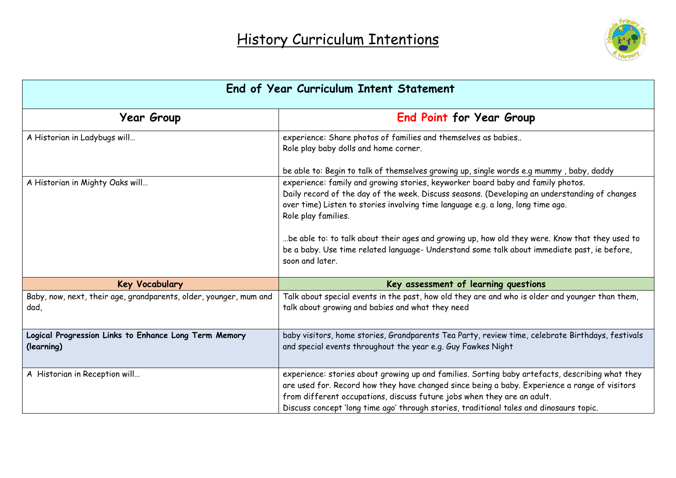

| End of Year Curriculum Intent Statement                                   |                                                                                                                                                                                                                                                                                                                                                                                                                                                                                                                 |  |
|---------------------------------------------------------------------------|-----------------------------------------------------------------------------------------------------------------------------------------------------------------------------------------------------------------------------------------------------------------------------------------------------------------------------------------------------------------------------------------------------------------------------------------------------------------------------------------------------------------|--|
| <b>Year Group</b>                                                         | <b>End Point for Year Group</b>                                                                                                                                                                                                                                                                                                                                                                                                                                                                                 |  |
| A Historian in Ladybugs will                                              | experience: Share photos of families and themselves as babies<br>Role play baby dolls and home corner.                                                                                                                                                                                                                                                                                                                                                                                                          |  |
|                                                                           | be able to: Begin to talk of themselves growing up, single words e.g mummy, baby, daddy                                                                                                                                                                                                                                                                                                                                                                                                                         |  |
| A Historian in Mighty Oaks will                                           | experience: family and growing stories, keyworker board baby and family photos.<br>Daily record of the day of the week. Discuss seasons. (Developing an understanding of changes<br>over time) Listen to stories involving time language e.g. a long, long time ago.<br>Role play families.<br>be able to: to talk about their ages and growing up, how old they were. Know that they used to<br>be a baby. Use time related language- Understand some talk about immediate past, ie before,<br>soon and later. |  |
| <b>Key Vocabulary</b>                                                     | Key assessment of learning questions                                                                                                                                                                                                                                                                                                                                                                                                                                                                            |  |
| Baby, now, next, their age, grandparents, older, younger, mum and<br>dad, | Talk about special events in the past, how old they are and who is older and younger than them,<br>talk about growing and babies and what they need                                                                                                                                                                                                                                                                                                                                                             |  |
| Logical Progression Links to Enhance Long Term Memory<br>(learning)       | baby visitors, home stories, Grandparents Tea Party, review time, celebrate Birthdays, festivals<br>and special events throughout the year e.g. Guy Fawkes Night                                                                                                                                                                                                                                                                                                                                                |  |
| A Historian in Reception will                                             | experience: stories about growing up and families. Sorting baby artefacts, describing what they<br>are used for. Record how they have changed since being a baby. Experience a range of visitors<br>from different occupations, discuss future jobs when they are an adult.<br>Discuss concept 'long time ago' through stories, traditional tales and dinosaurs topic.                                                                                                                                          |  |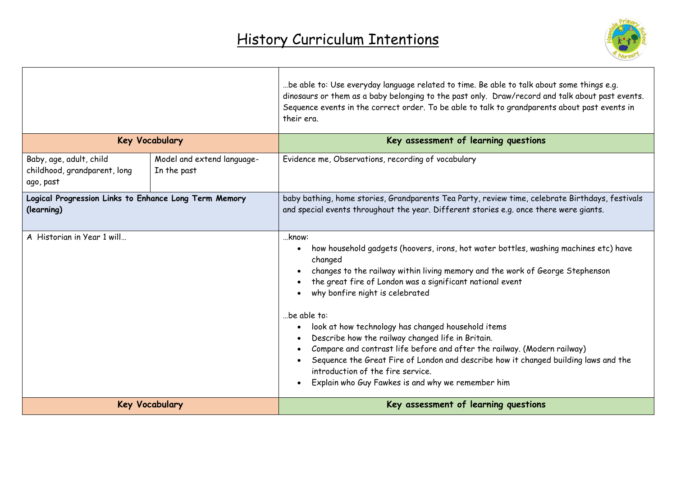

|                                                                      |                                           | be able to: Use everyday language related to time. Be able to talk about some things e.g<br>dinosaurs or them as a baby belonging to the past only. Draw/record and talk about past events.<br>Sequence events in the correct order. To be able to talk to grandparents about past events in<br>their era.                                                                                                                                                                                                                                                                                                                                                                                                 |  |
|----------------------------------------------------------------------|-------------------------------------------|------------------------------------------------------------------------------------------------------------------------------------------------------------------------------------------------------------------------------------------------------------------------------------------------------------------------------------------------------------------------------------------------------------------------------------------------------------------------------------------------------------------------------------------------------------------------------------------------------------------------------------------------------------------------------------------------------------|--|
|                                                                      | <b>Key Vocabulary</b>                     | Key assessment of learning questions                                                                                                                                                                                                                                                                                                                                                                                                                                                                                                                                                                                                                                                                       |  |
| Baby, age, adult, child<br>childhood, grandparent, long<br>ago, past | Model and extend language-<br>In the past | Evidence me, Observations, recording of vocabulary                                                                                                                                                                                                                                                                                                                                                                                                                                                                                                                                                                                                                                                         |  |
| Logical Progression Links to Enhance Long Term Memory<br>(learning)  |                                           | baby bathing, home stories, Grandparents Tea Party, review time, celebrate Birthdays, festivals<br>and special events throughout the year. Different stories e.g. once there were giants.                                                                                                                                                                                                                                                                                                                                                                                                                                                                                                                  |  |
| A Historian in Year 1 will                                           |                                           | know:<br>how household gadgets (hoovers, irons, hot water bottles, washing machines etc) have<br>$\bullet$<br>changed<br>changes to the railway within living memory and the work of George Stephenson<br>the great fire of London was a significant national event<br>why bonfire night is celebrated<br>be able to:<br>look at how technology has changed household items<br>Describe how the railway changed life in Britain.<br>$\bullet$<br>Compare and contrast life before and after the railway. (Modern railway)<br>Sequence the Great Fire of London and describe how it changed building laws and the<br>introduction of the fire service.<br>Explain who Guy Fawkes is and why we remember him |  |
|                                                                      | <b>Key Vocabulary</b>                     | Key assessment of learning questions                                                                                                                                                                                                                                                                                                                                                                                                                                                                                                                                                                                                                                                                       |  |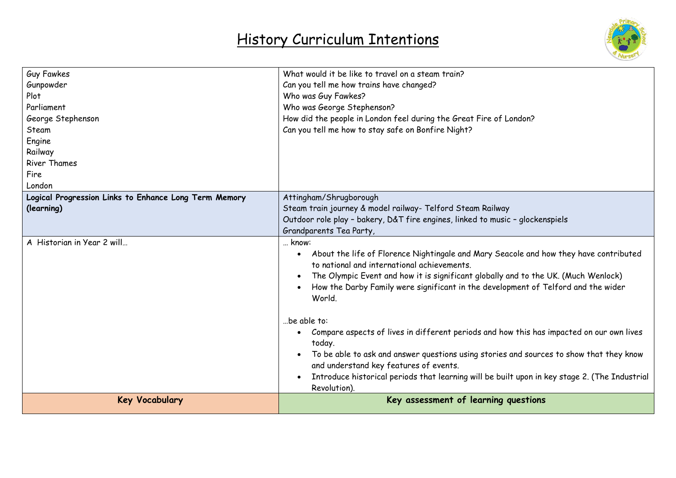

| Guy Fawkes<br>Gunpowder<br>Plot<br>Parliament<br>George Stephenson<br>Steam<br>Engine<br>Railway<br><b>River Thames</b><br>Fire | What would it be like to travel on a steam train?<br>Can you tell me how trains have changed?<br>Who was Guy Fawkes?<br>Who was George Stephenson?<br>How did the people in London feel during the Great Fire of London?<br>Can you tell me how to stay safe on Bonfire Night?                                                                                                       |
|---------------------------------------------------------------------------------------------------------------------------------|--------------------------------------------------------------------------------------------------------------------------------------------------------------------------------------------------------------------------------------------------------------------------------------------------------------------------------------------------------------------------------------|
| London<br>Logical Progression Links to Enhance Long Term Memory<br>(learning)                                                   | Attingham/Shrugborough<br>Steam train journey & model railway- Telford Steam Railway                                                                                                                                                                                                                                                                                                 |
|                                                                                                                                 | Outdoor role play - bakery, D&T fire engines, linked to music - glockenspiels<br>Grandparents Tea Party,                                                                                                                                                                                                                                                                             |
| A Historian in Year 2 will                                                                                                      | know:<br>About the life of Florence Nightingale and Mary Seacole and how they have contributed<br>to national and international achievements.<br>The Olympic Event and how it is significant globally and to the UK. (Much Wenlock)<br>How the Darby Family were significant in the development of Telford and the wider<br>World.                                                   |
|                                                                                                                                 | be able to:<br>Compare aspects of lives in different periods and how this has impacted on our own lives<br>today.<br>To be able to ask and answer questions using stories and sources to show that they know<br>$\bullet$<br>and understand key features of events.<br>Introduce historical periods that learning will be built upon in key stage 2. (The Industrial<br>Revolution). |
| <b>Key Vocabulary</b>                                                                                                           | Key assessment of learning questions                                                                                                                                                                                                                                                                                                                                                 |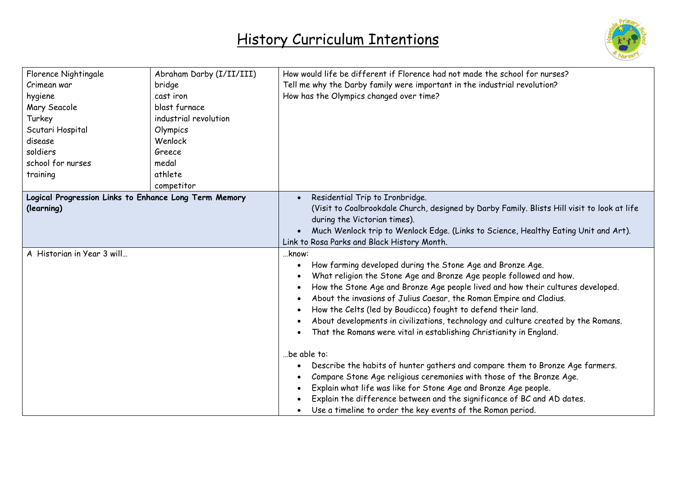

| Florence Nightingale                                  | Abraham Darby (I/II/III) | How would life be different if Florence had not made the school for nurses?                 |  |
|-------------------------------------------------------|--------------------------|---------------------------------------------------------------------------------------------|--|
| Crimean war                                           | bridge                   | Tell me why the Darby family were important in the industrial revolution?                   |  |
| hygiene                                               | cast iron                | How has the Olympics changed over time?                                                     |  |
| Mary Seacole                                          | blast furnace            |                                                                                             |  |
| Turkey                                                | industrial revolution    |                                                                                             |  |
| Scutari Hospital                                      | Olympics                 |                                                                                             |  |
| disease                                               | Wenlock                  |                                                                                             |  |
| soldiers                                              | Greece                   |                                                                                             |  |
| school for nurses                                     | medal                    |                                                                                             |  |
| training                                              | athlete                  |                                                                                             |  |
|                                                       | competitor               |                                                                                             |  |
| Logical Progression Links to Enhance Long Term Memory |                          | Residential Trip to Ironbridge.                                                             |  |
| (learning)                                            |                          | (Visit to Coalbrookdale Church, designed by Darby Family. Blists Hill visit to look at life |  |
|                                                       |                          | during the Victorian times).                                                                |  |
|                                                       |                          | Much Wenlock trip to Wenlock Edge. (Links to Science, Healthy Eating Unit and Art).         |  |
|                                                       |                          | Link to Rosa Parks and Black History Month.                                                 |  |
| A Historian in Year 3 will                            |                          | know:                                                                                       |  |
|                                                       |                          | How farming developed during the Stone Age and Bronze Age.                                  |  |
|                                                       |                          | What religion the Stone Age and Bronze Age people followed and how.                         |  |
|                                                       |                          | How the Stone Age and Bronze Age people lived and how their cultures developed.             |  |
|                                                       |                          | About the invasions of Julius Caesar, the Roman Empire and Cladius.                         |  |
|                                                       |                          | How the Celts (led by Boudicca) fought to defend their land.                                |  |
|                                                       |                          | About developments in civilizations, technology and culture created by the Romans.          |  |
|                                                       |                          | That the Romans were vital in establishing Christianity in England.                         |  |
|                                                       |                          |                                                                                             |  |
|                                                       |                          | be able to:                                                                                 |  |
|                                                       |                          | Describe the habits of hunter gathers and compare them to Bronze Age farmers.               |  |
|                                                       |                          | Compare Stone Age religious ceremonies with those of the Bronze Age.                        |  |
|                                                       |                          | Explain what life was like for Stone Age and Bronze Age people.                             |  |
|                                                       |                          | Explain the difference between and the significance of BC and AD dates.                     |  |
|                                                       |                          | Use a timeline to order the key events of the Roman period.                                 |  |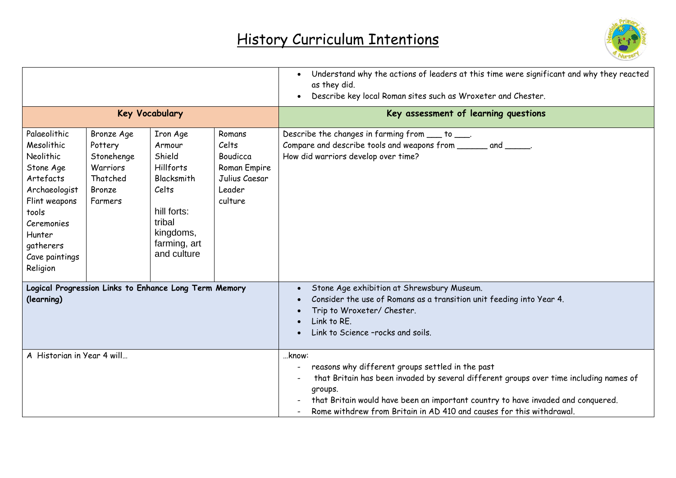

|                                                                                                                                                                                 |                                                                                  |                                                                                                                                       |                                                                                   | Understand why the actions of leaders at this time were significant and why they reacted<br>as they did.<br>Describe key local Roman sites such as Wroxeter and Chester.                                                                                                                                                   |
|---------------------------------------------------------------------------------------------------------------------------------------------------------------------------------|----------------------------------------------------------------------------------|---------------------------------------------------------------------------------------------------------------------------------------|-----------------------------------------------------------------------------------|----------------------------------------------------------------------------------------------------------------------------------------------------------------------------------------------------------------------------------------------------------------------------------------------------------------------------|
|                                                                                                                                                                                 |                                                                                  | <b>Key Vocabulary</b>                                                                                                                 |                                                                                   | Key assessment of learning questions                                                                                                                                                                                                                                                                                       |
| Palaeolithic<br>Mesolithic<br>Neolithic<br>Stone Age<br>Artefacts<br>Archaeologist<br>Flint weapons<br>tools<br>Ceremonies<br>Hunter<br>gatherers<br>Cave paintings<br>Religion | Bronze Age<br>Pottery<br>Stonehenge<br>Warriors<br>Thatched<br>Bronze<br>Farmers | Iron Age<br>Armour<br>Shield<br>Hillforts<br>Blacksmith<br>Celts<br>hill forts:<br>tribal<br>kingdoms,<br>farming, art<br>and culture | Romans<br>Celts<br>Boudicca<br>Roman Empire<br>Julius Caesar<br>Leader<br>culture | Describe the changes in farming from ____ to ____.<br>Compare and describe tools and weapons from when and weapons.<br>How did warriors develop over time?                                                                                                                                                                 |
| (learning)                                                                                                                                                                      |                                                                                  | Logical Progression Links to Enhance Long Term Memory                                                                                 |                                                                                   | Stone Age exhibition at Shrewsbury Museum.<br>Consider the use of Romans as a transition unit feeding into Year 4.<br>Trip to Wroxeter/ Chester.<br>Link to RE.<br>Link to Science -rocks and soils.                                                                                                                       |
| A Historian in Year 4 will                                                                                                                                                      |                                                                                  |                                                                                                                                       |                                                                                   | know:<br>reasons why different groups settled in the past<br>that Britain has been invaded by several different groups over time including names of<br>groups.<br>that Britain would have been an important country to have invaded and conquered.<br>Rome withdrew from Britain in AD 410 and causes for this withdrawal. |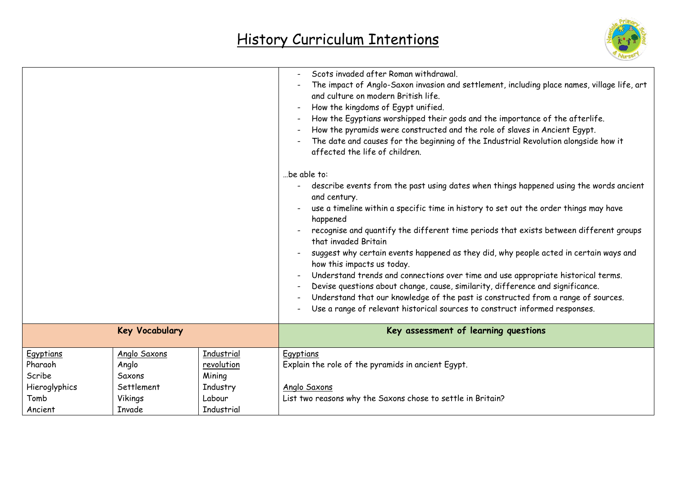

|                                                 |                                               |                                                | Scots invaded after Roman withdrawal.<br>The impact of Anglo-Saxon invasion and settlement, including place names, village life, art<br>and culture on modern British life.<br>How the kingdoms of Egypt unified.<br>How the Egyptians worshipped their gods and the importance of the afterlife.<br>How the pyramids were constructed and the role of slaves in Ancient Egypt.<br>The date and causes for the beginning of the Industrial Revolution alongside how it<br>affected the life of children.<br>be able to:<br>describe events from the past using dates when things happened using the words ancient<br>and century.<br>use a timeline within a specific time in history to set out the order things may have<br>happened<br>recognise and quantify the different time periods that exists between different groups<br>that invaded Britain<br>suggest why certain events happened as they did, why people acted in certain ways and<br>how this impacts us today.<br>Understand trends and connections over time and use appropriate historical terms.<br>Devise questions about change, cause, similarity, difference and significance.<br>Understand that our knowledge of the past is constructed from a range of sources.<br>Use a range of relevant historical sources to construct informed responses. |
|-------------------------------------------------|-----------------------------------------------|------------------------------------------------|----------------------------------------------------------------------------------------------------------------------------------------------------------------------------------------------------------------------------------------------------------------------------------------------------------------------------------------------------------------------------------------------------------------------------------------------------------------------------------------------------------------------------------------------------------------------------------------------------------------------------------------------------------------------------------------------------------------------------------------------------------------------------------------------------------------------------------------------------------------------------------------------------------------------------------------------------------------------------------------------------------------------------------------------------------------------------------------------------------------------------------------------------------------------------------------------------------------------------------------------------------------------------------------------------------------------------|
|                                                 | <b>Key Vocabulary</b>                         |                                                | Key assessment of learning questions                                                                                                                                                                                                                                                                                                                                                                                                                                                                                                                                                                                                                                                                                                                                                                                                                                                                                                                                                                                                                                                                                                                                                                                                                                                                                       |
| Egyptians<br>Pharaoh<br>Scribe<br>Hieroglyphics | Anglo Saxons<br>Anglo<br>Saxons<br>Settlement | Industrial<br>revolution<br>Mining<br>Industry | Egyptians<br>Explain the role of the pyramids in ancient Egypt.<br>Anglo Saxons                                                                                                                                                                                                                                                                                                                                                                                                                                                                                                                                                                                                                                                                                                                                                                                                                                                                                                                                                                                                                                                                                                                                                                                                                                            |
| Tomb<br>Ancient                                 | Vikings<br>Invade                             | Labour<br>Industrial                           | List two reasons why the Saxons chose to settle in Britain?                                                                                                                                                                                                                                                                                                                                                                                                                                                                                                                                                                                                                                                                                                                                                                                                                                                                                                                                                                                                                                                                                                                                                                                                                                                                |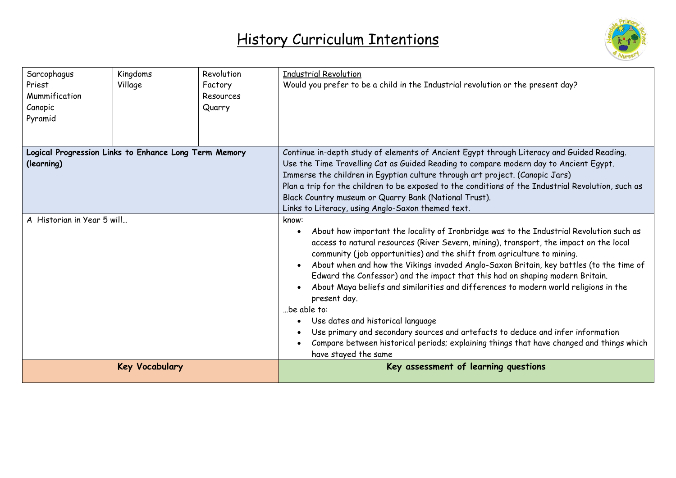

| Sarcophagus<br>Priest<br>Mummification<br>Canopic<br>Pyramid        | Kingdoms<br>Village   | Revolution<br>Factory<br>Resources<br>Quarry | <b>Industrial Revolution</b><br>Would you prefer to be a child in the Industrial revolution or the present day?                                                                                                                                                                                                                                                                                                                                                                                                                                                                                                                                                                                                                                                                                                                                                          |  |
|---------------------------------------------------------------------|-----------------------|----------------------------------------------|--------------------------------------------------------------------------------------------------------------------------------------------------------------------------------------------------------------------------------------------------------------------------------------------------------------------------------------------------------------------------------------------------------------------------------------------------------------------------------------------------------------------------------------------------------------------------------------------------------------------------------------------------------------------------------------------------------------------------------------------------------------------------------------------------------------------------------------------------------------------------|--|
| Logical Progression Links to Enhance Long Term Memory<br>(learning) |                       |                                              | Continue in-depth study of elements of Ancient Egypt through Literacy and Guided Reading.<br>Use the Time Travelling Cat as Guided Reading to compare modern day to Ancient Egypt.<br>Immerse the children in Egyptian culture through art project. (Canopic Jars)<br>Plan a trip for the children to be exposed to the conditions of the Industrial Revolution, such as<br>Black Country museum or Quarry Bank (National Trust).<br>Links to Literacy, using Anglo-Saxon themed text.                                                                                                                                                                                                                                                                                                                                                                                   |  |
| A Historian in Year 5 will                                          |                       |                                              | know:<br>About how important the locality of Ironbridge was to the Industrial Revolution such as<br>$\bullet$<br>access to natural resources (River Severn, mining), transport, the impact on the local<br>community (job opportunities) and the shift from agriculture to mining.<br>About when and how the Vikings invaded Anglo-Saxon Britain, key battles (to the time of<br>$\bullet$<br>Edward the Confessor) and the impact that this had on shaping modern Britain.<br>About Maya beliefs and similarities and differences to modern world religions in the<br>$\bullet$<br>present day.<br>be able to:<br>Use dates and historical language<br>$\bullet$<br>Use primary and secondary sources and artefacts to deduce and infer information<br>Compare between historical periods; explaining things that have changed and things which<br>have stayed the same |  |
|                                                                     | <b>Key Vocabulary</b> |                                              | Key assessment of learning questions                                                                                                                                                                                                                                                                                                                                                                                                                                                                                                                                                                                                                                                                                                                                                                                                                                     |  |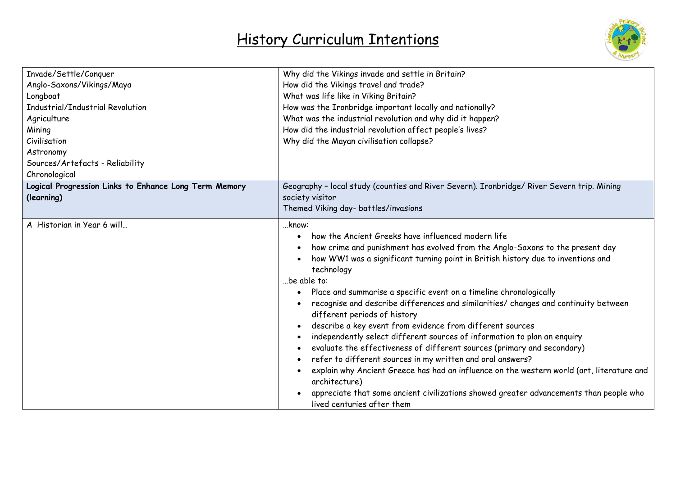

| Invade/Settle/Conquer<br>Anglo-Saxons/Vikings/Maya<br>Longboat<br>Industrial/Industrial Revolution<br>Agriculture<br>Mining<br>Civilisation<br>Astronomy<br>Sources/Artefacts - Reliability<br>Chronological | Why did the Vikings invade and settle in Britain?<br>How did the Vikings travel and trade?<br>What was life like in Viking Britain?<br>How was the Ironbridge important locally and nationally?<br>What was the industrial revolution and why did it happen?<br>How did the industrial revolution affect people's lives?<br>Why did the Mayan civilisation collapse?                                                                                                                                                                                                                                                                                                                                                                                                                                                                                   |
|--------------------------------------------------------------------------------------------------------------------------------------------------------------------------------------------------------------|--------------------------------------------------------------------------------------------------------------------------------------------------------------------------------------------------------------------------------------------------------------------------------------------------------------------------------------------------------------------------------------------------------------------------------------------------------------------------------------------------------------------------------------------------------------------------------------------------------------------------------------------------------------------------------------------------------------------------------------------------------------------------------------------------------------------------------------------------------|
| Logical Progression Links to Enhance Long Term Memory<br>(learning)                                                                                                                                          | Geography - local study (counties and River Severn). Ironbridge/ River Severn trip. Mining<br>society visitor                                                                                                                                                                                                                                                                                                                                                                                                                                                                                                                                                                                                                                                                                                                                          |
|                                                                                                                                                                                                              | Themed Viking day- battles/invasions                                                                                                                                                                                                                                                                                                                                                                                                                                                                                                                                                                                                                                                                                                                                                                                                                   |
| A Historian in Year 6 will                                                                                                                                                                                   | know:<br>how the Ancient Greeks have influenced modern life<br>how crime and punishment has evolved from the Anglo-Saxons to the present day<br>how WW1 was a significant turning point in British history due to inventions and<br>technology<br>be able to:<br>Place and summarise a specific event on a timeline chronologically<br>recognise and describe differences and similarities/ changes and continuity between<br>different periods of history<br>describe a key event from evidence from different sources<br>$\bullet$<br>independently select different sources of information to plan an enquiry<br>evaluate the effectiveness of different sources (primary and secondary)<br>refer to different sources in my written and oral answers?<br>explain why Ancient Greece has had an influence on the western world (art, literature and |
|                                                                                                                                                                                                              | architecture)<br>appreciate that some ancient civilizations showed greater advancements than people who<br>lived centuries after them                                                                                                                                                                                                                                                                                                                                                                                                                                                                                                                                                                                                                                                                                                                  |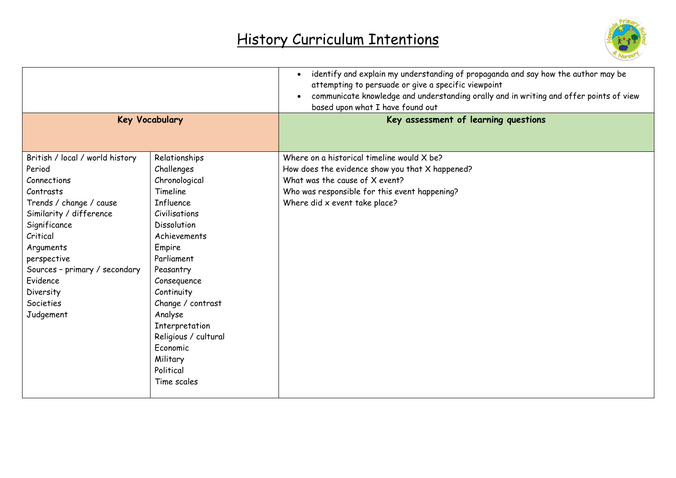

|                                                                                                                                                                                                                                                                         |                                                                                                                                                                                                                                                                                                  | identify and explain my understanding of propaganda and say how the author may be<br>$\bullet$<br>attempting to persuade or give a specific viewpoint<br>communicate knowledge and understanding orally and in writing and offer points of view<br>based upon what I have found out |
|-------------------------------------------------------------------------------------------------------------------------------------------------------------------------------------------------------------------------------------------------------------------------|--------------------------------------------------------------------------------------------------------------------------------------------------------------------------------------------------------------------------------------------------------------------------------------------------|-------------------------------------------------------------------------------------------------------------------------------------------------------------------------------------------------------------------------------------------------------------------------------------|
| <b>Key Vocabulary</b>                                                                                                                                                                                                                                                   |                                                                                                                                                                                                                                                                                                  | Key assessment of learning questions                                                                                                                                                                                                                                                |
| British / local / world history<br>Period<br>Connections<br>Contrasts<br>Trends / change / cause<br>Similarity / difference<br>Significance<br>Critical<br>Arguments<br>perspective<br>Sources - primary / secondary<br>Evidence<br>Diversity<br>Societies<br>Judgement | Relationships<br>Challenges<br>Chronological<br>Timeline<br><b>Influence</b><br>Civilisations<br>Dissolution<br>Achievements<br>Empire<br>Parliament<br>Peasantry<br>Consequence<br>Continuity<br>Change / contrast<br>Analyse<br>Interpretation<br>Religious / cultural<br>Economic<br>Military | Where on a historical timeline would X be?<br>How does the evidence show you that X happened?<br>What was the cause of X event?<br>Who was responsible for this event happening?<br>Where did x event take place?                                                                   |
|                                                                                                                                                                                                                                                                         | Political<br>Time scales                                                                                                                                                                                                                                                                         |                                                                                                                                                                                                                                                                                     |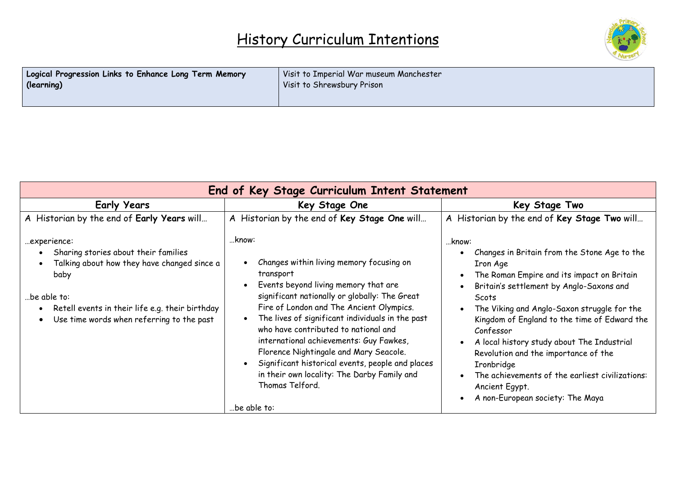

| Logical Progression Links to Enhance Long Term Memory | Visit to Imperial War museum Manchester |
|-------------------------------------------------------|-----------------------------------------|
| (learning)                                            | Visit to Shrewsbury Prison              |
|                                                       |                                         |

| End of Key Stage Curriculum Intent Statement                                                                                                                                                                                                        |                                                                                                                                                                                                                                                                                                                                                                                                                                                                                                                                                      |                                                                                                                                                                                                                                                                                                                                                                                                                                                                                                |  |
|-----------------------------------------------------------------------------------------------------------------------------------------------------------------------------------------------------------------------------------------------------|------------------------------------------------------------------------------------------------------------------------------------------------------------------------------------------------------------------------------------------------------------------------------------------------------------------------------------------------------------------------------------------------------------------------------------------------------------------------------------------------------------------------------------------------------|------------------------------------------------------------------------------------------------------------------------------------------------------------------------------------------------------------------------------------------------------------------------------------------------------------------------------------------------------------------------------------------------------------------------------------------------------------------------------------------------|--|
| <b>Early Years</b>                                                                                                                                                                                                                                  | Key Stage One                                                                                                                                                                                                                                                                                                                                                                                                                                                                                                                                        | Key Stage Two                                                                                                                                                                                                                                                                                                                                                                                                                                                                                  |  |
| A Historian by the end of Early Years will                                                                                                                                                                                                          | A Historian by the end of Key Stage One will                                                                                                                                                                                                                                                                                                                                                                                                                                                                                                         | A Historian by the end of Key Stage Two will                                                                                                                                                                                                                                                                                                                                                                                                                                                   |  |
| experience:<br>Sharing stories about their families<br>Talking about how they have changed since a<br>$\bullet$<br>baby<br>be able to:<br>Retell events in their life e.g. their birthday<br>$\bullet$<br>Use time words when referring to the past | know:<br>Changes within living memory focusing on<br>transport<br>Events beyond living memory that are<br>significant nationally or globally: The Great<br>Fire of London and The Ancient Olympics.<br>The lives of significant individuals in the past<br>$\bullet$<br>who have contributed to national and<br>international achievements: Guy Fawkes,<br>Florence Nightingale and Mary Seacole.<br>Significant historical events, people and places<br>$\bullet$<br>in their own locality: The Darby Family and<br>Thomas Telford.<br>.be able to: | …know:<br>Changes in Britain from the Stone Age to the<br>Iron Age<br>The Roman Empire and its impact on Britain<br>Britain's settlement by Anglo-Saxons and<br>Scots<br>The Viking and Anglo-Saxon struggle for the<br>Kingdom of England to the time of Edward the<br>Confessor<br>A local history study about The Industrial<br>Revolution and the importance of the<br>Ironbridge<br>The achievements of the earliest civilizations:<br>Ancient Egypt.<br>A non-European society: The Maya |  |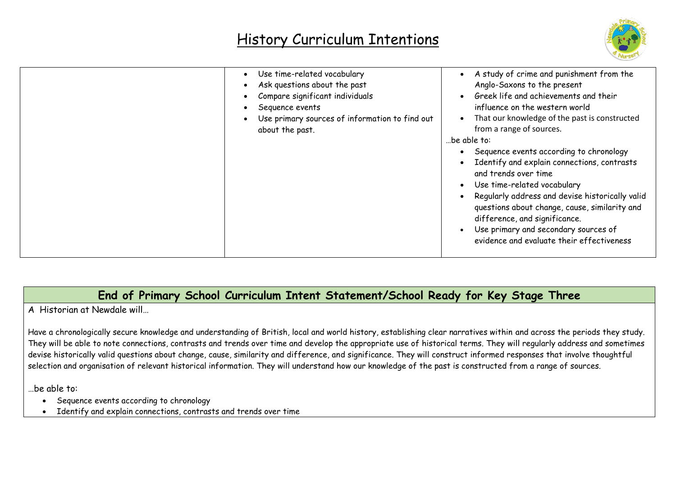

| Use time-related vocabulary<br>Ask questions about the past<br>Compare significant individuals<br>Sequence events<br>Use primary sources of information to find out<br>about the past. | A study of crime and punishment from the<br>$\bullet$<br>Anglo-Saxons to the present<br>Greek life and achievements and their<br>influence on the western world<br>That our knowledge of the past is constructed<br>from a range of sources.<br>be able to:<br>Sequence events according to chronology<br>$\bullet$<br>Identify and explain connections, contrasts<br>and trends over time<br>Use time-related vocabulary<br>$\bullet$<br>Regularly address and devise historically valid<br>questions about change, cause, similarity and<br>difference, and significance.<br>Use primary and secondary sources of<br>evidence and evaluate their effectiveness |
|----------------------------------------------------------------------------------------------------------------------------------------------------------------------------------------|------------------------------------------------------------------------------------------------------------------------------------------------------------------------------------------------------------------------------------------------------------------------------------------------------------------------------------------------------------------------------------------------------------------------------------------------------------------------------------------------------------------------------------------------------------------------------------------------------------------------------------------------------------------|
|----------------------------------------------------------------------------------------------------------------------------------------------------------------------------------------|------------------------------------------------------------------------------------------------------------------------------------------------------------------------------------------------------------------------------------------------------------------------------------------------------------------------------------------------------------------------------------------------------------------------------------------------------------------------------------------------------------------------------------------------------------------------------------------------------------------------------------------------------------------|

#### **End of Primary School Curriculum Intent Statement/School Ready for Key Stage Three**

A Historian at Newdale will…

Have a chronologically secure knowledge and understanding of British, local and world history, establishing clear narratives within and across the periods they study. They will be able to note connections, contrasts and trends over time and develop the appropriate use of historical terms. They will regularly address and sometimes devise historically valid questions about change, cause, similarity and difference, and significance. They will construct informed responses that involve thoughtful selection and organisation of relevant historical information. They will understand how our knowledge of the past is constructed from a range of sources.

…be able to:

- Sequence events according to chronology
- Identify and explain connections, contrasts and trends over time